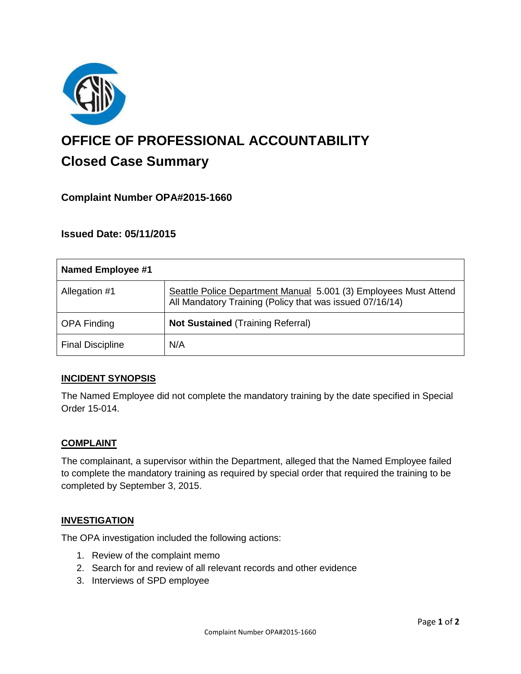

# **OFFICE OF PROFESSIONAL ACCOUNTABILITY Closed Case Summary**

# **Complaint Number OPA#2015-1660**

## **Issued Date: 05/11/2015**

| <b>Named Employee #1</b> |                                                                                                                              |
|--------------------------|------------------------------------------------------------------------------------------------------------------------------|
| Allegation #1            | Seattle Police Department Manual 5.001 (3) Employees Must Attend<br>All Mandatory Training (Policy that was issued 07/16/14) |
| <b>OPA Finding</b>       | <b>Not Sustained (Training Referral)</b>                                                                                     |
| <b>Final Discipline</b>  | N/A                                                                                                                          |

## **INCIDENT SYNOPSIS**

The Named Employee did not complete the mandatory training by the date specified in Special Order 15-014.

#### **COMPLAINT**

The complainant, a supervisor within the Department, alleged that the Named Employee failed to complete the mandatory training as required by special order that required the training to be completed by September 3, 2015.

#### **INVESTIGATION**

The OPA investigation included the following actions:

- 1. Review of the complaint memo
- 2. Search for and review of all relevant records and other evidence
- 3. Interviews of SPD employee